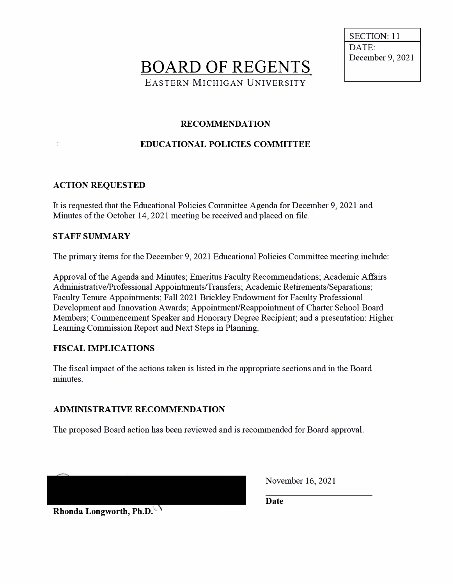**BOARD OF REGENTS** EASTERN MICHIGAN UNIVERSITY

SECTION: 11 DATE:<br>December 9, 2021

#### **RECOMMENDATION**

#### **EDUCATIONAL POLICIES COMMITTEE**

#### **ACTION REQUESTED**

It is requested that the Educational Policies Committee Agenda for December 9, 2021 and Minutes of the October 14, 2021 meeting be received and placed on file.

#### **STAFF SUMMARY**

The primary items for the December 9, 2021 Educational Policies Committee meeting include:

Approval of the Agenda and Minutes; Emeritus Faculty Recommendations; Academic Affairs Administrative/Professional Appointments/Transfers; Academic Retirements/Separations; Faculty Tenure Appointments; Fall 2021 Brickley Endowment for Faculty Professional Development and Innovation Awards; Appointment/Reappointment of Charter School Board Members; Commencement Speaker and Honorary Degree Recipient; and a presentation: Higher Learning Commission Report and Next Steps in Planning.

#### **FISCAL IMPLICATIONS**

The fiscal impact of the actions taken is listed in the appropriate sections and in the Board minutes.

#### **ADMINISTRATIVE RECOMMENDATION**

The proposed Board action has been reviewed and is recommended for Board approval.

November 16, 2021

**Date** 

**Rhonda Longworth, Ph.D.**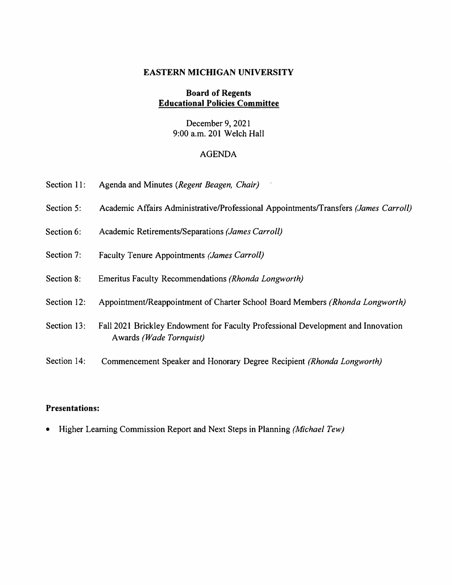#### **EASTERN MICHIGAN UNIVERSITY**

#### **Board of Regents Educational Policies Committee**

December 9, 2021 9:00 a.m. 201 Welch Hall

### AGENDA

| Section 11: | Agenda and Minutes (Regent Beagen, Chair)                                                                   |
|-------------|-------------------------------------------------------------------------------------------------------------|
| Section 5:  | Academic Affairs Administrative/Professional Appointments/Transfers (James Carroll)                         |
| Section 6:  | Academic Retirements/Separations (James Carroll)                                                            |
| Section 7:  | Faculty Tenure Appointments (James Carroll)                                                                 |
| Section 8:  | Emeritus Faculty Recommendations (Rhonda Longworth)                                                         |
| Section 12: | Appointment/Reappointment of Charter School Board Members (Rhonda Longworth)                                |
| Section 13: | Fall 2021 Brickley Endowment for Faculty Professional Development and Innovation<br>Awards (Wade Tornquist) |
| Section 14: | Commencement Speaker and Honorary Degree Recipient (Rhonda Longworth)                                       |

### **Presentations:**

• Higher Leaming Commission Report and Next Steps in Planning *(Michael Tew)*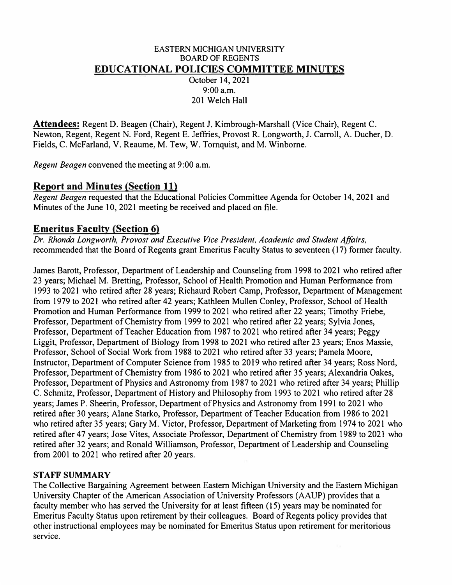#### EASTERN MICHIGAN UNIVERSITY BOARD OF REGENTS **EDUCATIONAL POLICIES COMMITTEE MINUTES**

October 14, 2021 9:00 a.m. 201 Welch Hall

**Attendees:** Regent D. Beagen (Chair), Regent J. Kimbrough-Marshall (Vice Chair), Regent C. Newton, Regent, Regent N. Ford, Regent E. Jeffries, Provost R. Longworth, J. Carroll, A. Ducher, D. Fields, C. McFarland, V. Reaume, M. Tew, W. Tornquist, and M. Winborne.

*Regent Beagen* convened the meeting at 9:00 a.m.

### **Report and Minutes (Section 11)**

*Regent Beagen* requested that the Educational Policies Committee Agenda for October 14, 2021 and Minutes of the June 10, 2021 meeting be received and placed on file.

### **Emeritus Faculty (Section 6)**

*Dr. Rhonda Longworth, Provost and Executive Vice President, Academic and Student Affairs,*  recommended that the Board of Regents grant Emeritus Faculty Status to seventeen (17) former faculty.

James Barett, Professor, Department of Leadership and Counseling from 1998 to 2021 who retired after 23 years; Michael M. Bretting, Professor, School of Health Promotion and Human Performance from 1993 to 2021 who retired after 28 years; Richaurd Robert Camp, Professor, Department of Management from 1979 to 2021 who retired after 42 years; Kathleen Mullen Conley, Professor, School of Health Promotion and Human Performance from 1999 to 2021 who retired after 22 years; Timothy Friehe, Professor, Department of Chemistry from 1999 to 2021 who retired after 22 years; Sylvia Jones, Professor, Department of Teacher Education from 1987 to 2021 who retired after 34 years; Peggy Liggit, Professor, Department of Biology from 1998 to 2021 who retired after 23 years; Enos Massie, Professor, School of Social Work from 1988 to 2021 who retired after 33 years; Pamela Moore, Instructor, Department of Computer Science from 1985 to 2019 who retired after 34 years; Ross Nord, Professor, Department of Chemistry from 1986 to 2021 who retired after 35 years; Alexandria Oakes, Professor, Department of Physics and Astronomy from 1987 to 2021 who retired after 34 years; Phillip C. Schmitz, Professor, Department of History and Philosophy from 1993 to 2021 who retired after 28 years; James P. Sheerin, Professor, Department of Physics and Astronomy from 1991 to 2021 who retired after 30 years; Alane Starko, Professor, Department of Teacher Education from 1986 to 2021 who retired after 35 years; Gary M. Victor, Professor, Department of Marketing from 1974 to 2021 who retired after 47 years; Jose Vites, Associate Professor, Department of Chemistry from 1989 to 2021 who retired after 32 years; and Ronald Williamson, Professor, Department of Leadership and Counseling from 2001 to 2021 who retired after 20 years.

### **STAFF SUMMARY**

The Collective Bargaining Agreement between Eastern Michigan University and the Eastern Michigan University Chapter of the American Association of University Professors (AAUP) provides that a faculty member who has served the University for at least fifteen (15) years may be nominated for Emeritus Faculty Status upon retirement by their colleagues. Board of Regents policy provides that other instructional employees may be nominated for Emeritus Status upon retirement for meritorious service.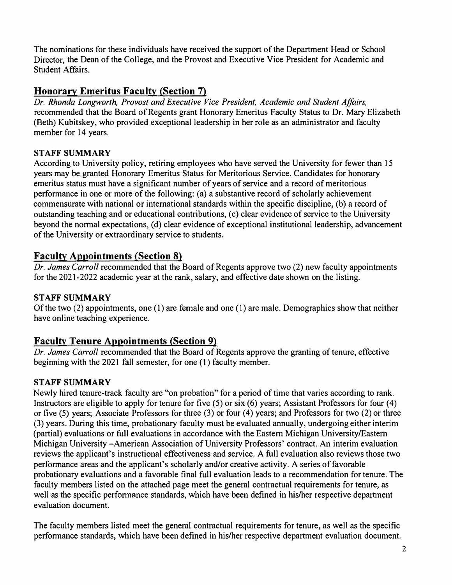The nominations for these individuals have received the support of the Department Head or School Director, the Dean of the College, and the Provost and Executive Vice President for Academic and Student Affairs.

## **Honorary Emeritus Faculty (Section 7)**

*Dr. Rhonda Longworth, Provost and Executive Vice President, Academic and Student Affairs,*  recommended that the Board of Regents grant Honorary Emeritus Faculty Status to Dr. Mary Elizabeth (Beth) Kubitskey, who provided exceptional leadership in her role as an administrator and faculty member for 14 years.

### **STAFF SUMMARY**

According to University policy, retiring employees who have served the University for fewer than 15 years may be granted Honorary Emeritus Status for Meritorious Service. Candidates for honorary emeritus status must have a significant number of years of service and a record of meritorious performance in one or more of the following: (a) a substantive record of scholarly achievement commensurate with national or international standards within the specific discipline, (b) a record of outstanding teaching and or educational contributions, (c) clear evidence of service to the University beyond the normal expectations, (d) clear evidence of exceptional institutional leadership, advancement of the University or extraordinary service to students.

## **Faculty Appointments (Section 8)**

*Dr. James Carroll* recommended that the Board of Regents approve two (2) new faculty appointments for the 2021-2022 academic year at the rank, salary, and effective date shown on the listing.

### **STAFF SUMMARY**

Of the two (2) appointments, one ( l) are female and one ( 1) are male. Demographics show that neither have online teaching experience.

### **Faculty Tenure Appointments (Section 9)**

*Dr. James Carroll* recommended that the Board of Regents approve the granting of tenure, effective beginning with the 2021 fall semester, for one (1) faculty member.

### **STAFF SUMMARY**

Newly hired tenure-track faculty are "on probation" for a period of time that varies according to rank. Instructors are eligible to apply for tenure for five  $(5)$  or six  $(6)$  years; Assistant Professors for four  $(4)$ or five (5) years; Associate Professors for three (3) or four (4) years; and Professors for two (2) or three (3) years. During this time, probationary faculty must be evaluated annually, undergoing either interim (partial) evaluations or full evaluations in accordance with the Eastern Michigan University/Eastern Michigan University -American Association of University Professors' contract. An interim evaluation reviews the applicant's instructional effectiveness and service. A full evaluation also reviews those two performance areas and the applicant's scholarly and/or creative activity. A series of favorable probationary evaluations and a favorable final full evaluation leads to a recommendation for tenure. The faculty members listed on the attached page meet the general contractual requirements for tenure, as well as the specific performance standards, which have been defined in his/her respective department evaluation document.

The faculty members listed meet the general contractual requirements for tenure, as well as the specific performance standards, which have been defined in his/her respective department evaluation document.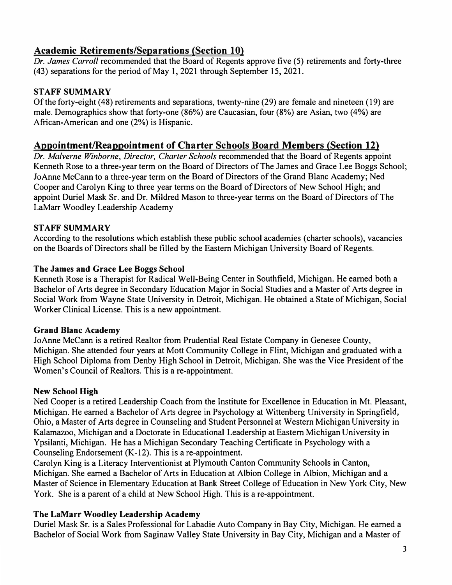## **Academic Retirements/Separations (Section 10)**

*Dr. James Carroll* recommended that the Board of Regents approve five (5) retirements and forty-three (43) separations for the period of May l, 2021 through September 15, 2021.

### **STAFF SUMMARY**

Of the forty-eight ( 48) retirements and separations, twenty-nine (29) are female and nineteen ( 19) are male. Demographics show that forty-one (86%) are Caucasian, four (8%) are Asian, two (4%) are African-American and one (2%) is Hispanic.

### **Appointment/Reappointment of Charter Schools Board Members (Section 12)**

*D<sup>r</sup> . Malverne Winborne, Director, Charter Schools* recommended that the Board of Regents appoint Kenneth Rose to a three-year term on the Board of Directors of The James and Grace Lee Boggs School; JoAnne McCann to a three-year term on the Board of Directors of the Grand Blanc Academy; Ned Cooper and Carolyn King to three year terms on the Board of Directors of New School High; and appoint Durie} Mask Sr. and Dr. Mildred Mason to three-year terms on the Board of Directors of The LaMarr Woodley Leadership Academy

#### **STAFF SUMMARY**

According to the resolutions which establish these public school academies (charter schools), vacancies on the Boards of Directors shall be filled by the Eastern Michigan University Board of Regents.

#### **The James and Grace Lee Boggs School**

Kenneth Rose is a Therapist for Radical Well-Being Center in Southfield, Michigan. He earned both a Bachelor of Arts degree in Secondary Education Major in Social Studies and a Master of Arts degree in Social Work from Wayne State University in Detroit, Michigan. He obtained a State of Michigan, Social Worker Clinical License. This is a new appointment.

#### **Grand Blanc Academy**

JoAnne McCann is a retired Realtor from Prudential Real Estate Company in Genesee County, Michigan. She attended four years at Mott Community College in Flint, Michigan and graduated with a High School Diploma from Denby High School in Detroit, Michigan. She was the Vice President of the Women's Council of Realtors. This is a re-appointment.

#### **New School High**

Ned Cooper is a retired Leadership Coach from the Institute for Excellence in Education in Mt. Pleasant, Michigan. He earned a Bachelor of Arts degree in Psychology at Wittenberg University in Springfield, Ohio, a Master of Arts degree in Counseling and Student Personnel at Western Michigan University in Kalamazoo, Michigan and a Doctorate in Educational Leadership at Eastern Michigan University in Ypsilanti, Michigan. He has a Michigan Secondary Teaching Certificate in Psychology with a Counseling Endorsement (K-12). This is a re-appointment.

Carolyn King is a Literacy Interventionist at Plymouth Canton Community Schools in Canton, Michigan. She earned a Bachelor of Arts in Education at Albion College in Albion, Michigan and a Master of Science in Elementary Education at Bank Street College of Education in New York City, New York. She is a parent of a child at New School High. This is a re-appointment.

#### **The LaMarr Woodley Leadership Academy**

Duriel Mask Sr. is a Sales Professional for Labadie Auto Company in Bay City, Michigan. He earned a Bachelor of Social Work from Saginaw Valley State University in Bay City, Michigan and a Master of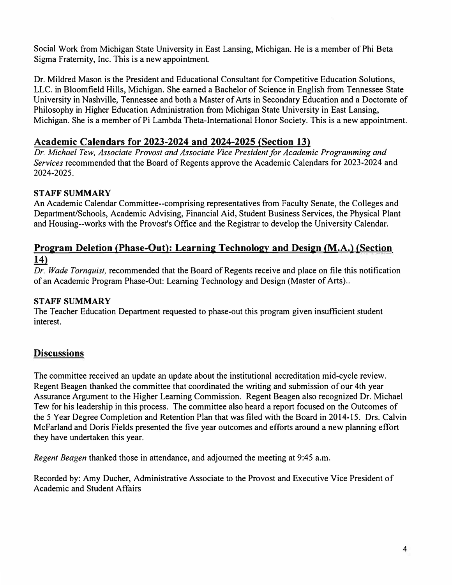Social Work from Michigan State University in East Lansing, Michigan. He is a member of Phi Beta Sigma Fraternity, Inc. This is a new appointment.

Dr. Mildred Mason is the President and Educational Consultant for Competitive Education Solutions, LLC. in Bloomfield Hills, Michigan. She earned a Bachelor of Science in English from Tennessee State University in Nashville, Tennessee and both a Master of Arts in Secondary Education and a Doctorate of Philosophy in Higher Education Administration from Michigan State University in East Lansing, Michigan. She is a member of Pi Lambda Theta-International Honor Society. This is a new appointment.

## **Academic Calendars for 2023-2024 and 2024-2025 (Section 13)**

*Dr. Michael Tew, Associate Provost and Associate Vice President for Academic Programming and Services* recommended that the Board of Regents approve the Academic Calendars for 2023-2024 and 2024-2025.

#### **STAFF SUMMARY**

An Academic Calendar Committee--comprising representatives from Faculty Senate, the Colleges and Department/Schools, Academic Advising, Financial Aid, Student Business Services, the Physical Plant and Housing--works with the Provost's Office and the Registrar to develop the University Calendar.

### **Program Deletion (Phase-Out): Learning Technology and Design (M.A.) (Section f14**)

*Dr. Wade Tornquist,* recommended that the Board of Regents receive and place on file this notification of an Academic Program Phase-Out: Learning Technology and Design (Master of Arts) ..

#### **STAFF SUMMARY**

The Teacher Education Department requested to phase-out this program given insufficient student interest.

### **Discussions**

The committee received an update an update about the institutional accreditation mid-cycle review. Regent Beagen thanked the committee that coordinated the writing and submission of our 4th year Assurance Argument to the Higher Learning Commission. Regent Beagen also recognized Dr. Michael Tew for his leadership in this process. The committee also heard a report focused on the Outcomes of the 5 Year Degree Completion and Retention Plan that was filed with the Board in 2014-15. Ors. Calvin McFarland and Doris Fields presented the five year outcomes and efforts around a new planning effort they have undertaken this year.

*Regent Beagen* thanked those in attendance, and adjourned the meeting at 9:45 a.m.

Recorded by: Amy Ducher, Administrative Associate to the Provost and Executive Vice President of Academic and Student Affairs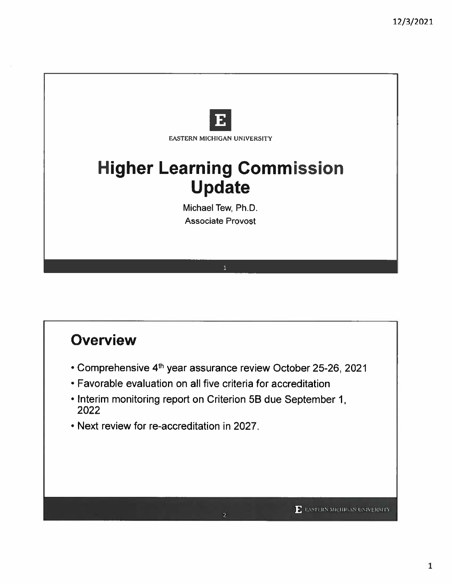

# **Overview**

- \* Comprehensive 4<sup>th</sup> year assurance review October 25-26, 2021
- Favorable evaluation on all five criteria for accreditation
- Interim monitoring report on Criterion 5B due September 1, 2022
- . Next review for re-accreditation in 2027.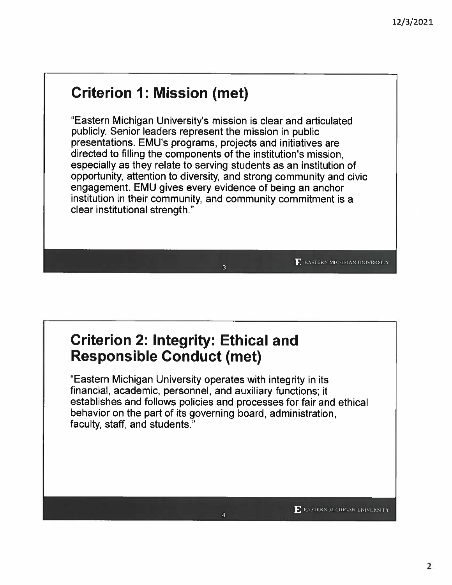# **Criterion 1: Mission (met)**

"Eastern Michigan University's mission is clear and articulated publicly. Senior leaders represent the mission in public presentations. EMU's programs, projects and initiatives are directed to filling the components of the institution's mission. especially as they relate to serving students as an institution of opportunity, attention to diversity, and strong community and civic engagement. EMU gives every evidence of being an anchor institution in their community, and community commitment is a clear institutional strength."

## **Criterion 2: Integrity: Ethical and Responsible Conduct (met)**

"Eastern Michigan University operates with integrity in its financial, academic, personnel, and auxiliary functions; it establishes and follows policies and processes for fair and ethical behavior on the part of its governing board, administration, faculty, staff, and students.

**F.** EASTERN MICHIGAN UNIVERSITY

 $\mathbf{F}$  EASTERN MICHIGAN UNIVERSITY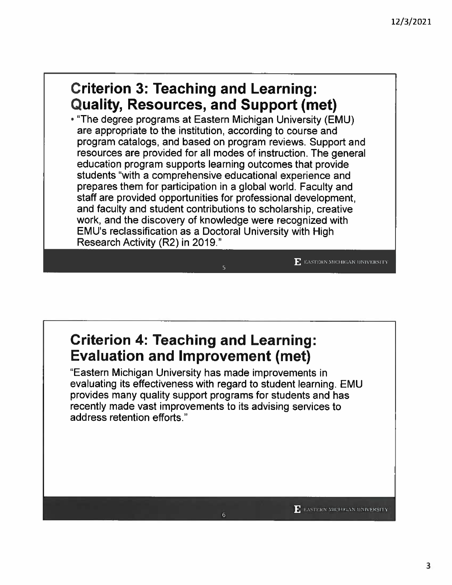## **Criterion 3: Teaching and Learning: Quality, Resources, and Support (met)**

• "The degree programs at Eastern Michigan University (EMU) are appropriate to the institution, according to course and program catalogs, and based on program reviews. Support and resources are provided for all modes of instruction. The general education program supports learning outcomes that provide students "with a comprehensive educational experience and prepares them for participation in a global world. Faculty and staff are provided opportunities for professional development, and faculty and student contributions to scholarship, creative work, and the discovery of knowledge were recognized with EMU's reclassification as a Doctoral University with High Research Activity (R2) in 2019."

## **Criterion 4: Teaching and Learning: Evaluation and Improvement (met)**

"Eastern Michigan University has made improvements in evaluating its effectiveness with regard to student learning. EMU provides many quality support programs for students and has recently made vast improvements to its advising services to address retention efforts."

 $\mathbf{F}$  EASTERN MICHIGAN UNIVERSITY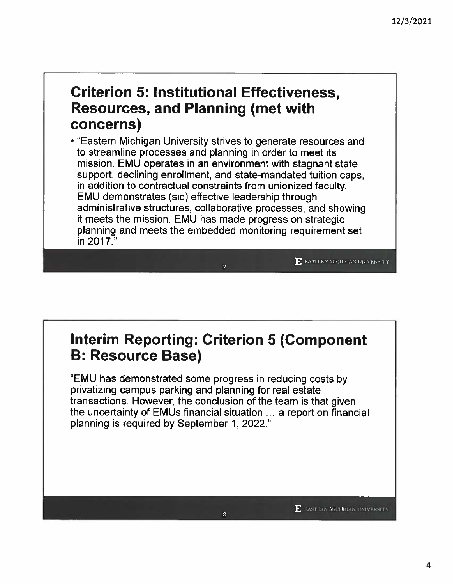## **Criterion 5: Institutional Effectiveness, Resources, and Planning (met with** concerns)

• "Eastern Michigan University strives to generate resources and to streamline processes and planning in order to meet its mission. EMU operates in an environment with stagnant state support, declining enrollment, and state-mandated tuition caps. in addition to contractual constraints from unionized faculty. **EMU demonstrates (sic) effective leadership through** administrative structures, collaborative processes, and showing it meets the mission. EMU has made progress on strategic planning and meets the embedded monitoring requirement set in 2017."

# **Interim Reporting: Criterion 5 (Component B: Resource Base)**

"EMU has demonstrated some progress in reducing costs by privatizing campus parking and planning for real estate transactions. However, the conclusion of the team is that given the uncertainty of EMUs financial situation ... a report on financial planning is required by September 1, 2022."

E EASTERN MICHIGAN UNIVERSITY

**F.** EASTERN MICHIGAN UNIVERSITY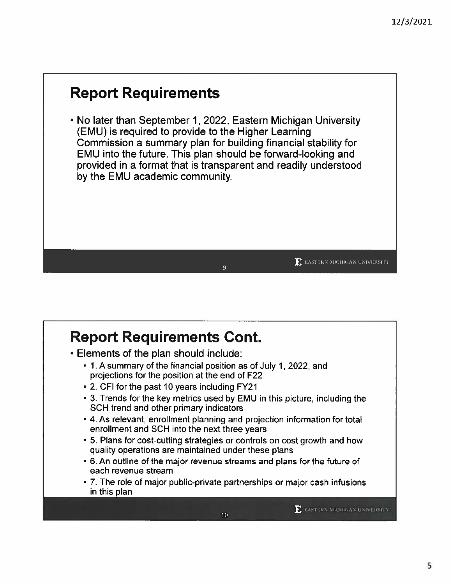# **Report Requirements**

. No later than September 1, 2022, Eastern Michigan University (EMU) is required to provide to the Higher Learning Commission a summary plan for building financial stability for EMU into the future. This plan should be forward-looking and provided in a format that is transparent and readily understood by the EMU academic community.

## **Report Requirements Cont.**

- Elements of the plan should include:
	- 1. A summary of the financial position as of July 1, 2022, and projections for the position at the end of F22
	- 2. CFI for the past 10 years including FY21
	- 3. Trends for the key metrics used by EMU in this picture, including the SCH trend and other primary indicators

9

- 4. As relevant, enrollment planning and projection information for total enrollment and SCH into the next three years
- 5. Plans for cost-cutting strategies or controls on cost growth and how quality operations are maintained under these plans
- 6. An outline of the major revenue streams and plans for the future of each revenue stream
- 7. The role of major public-private partnerships or major cash infusions in this plan

**E** EASTERN MICHIGAN UNIVERSITY

 $\mathbf{E}$  EASTERN MICHIGAN UNIVERSITY